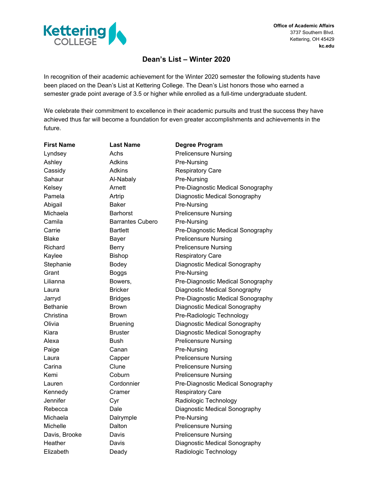

## **Dean's List – Winter 2020**

In recognition of their academic achievement for the Winter 2020 semester the following students have been placed on the Dean's List at Kettering College. The Dean's List honors those who earned a semester grade point average of 3.5 or higher while enrolled as a full-time undergraduate student.

We celebrate their commitment to excellence in their academic pursuits and trust the success they have achieved thus far will become a foundation for even greater accomplishments and achievements in the future.

| <b>First Name</b> | <b>Last Name</b>        | <b>Degree Program</b>             |
|-------------------|-------------------------|-----------------------------------|
| Lyndsey           | Achs                    | <b>Prelicensure Nursing</b>       |
| Ashley            | <b>Adkins</b>           | Pre-Nursing                       |
| Cassidy           | Adkins                  | <b>Respiratory Care</b>           |
| Sahaur            | Al-Nabaly               | Pre-Nursing                       |
| Kelsev            | Arnett                  | Pre-Diagnostic Medical Sonography |
| Pamela            | Artrip                  | Diagnostic Medical Sonography     |
| Abigail           | <b>Baker</b>            | Pre-Nursing                       |
| Michaela          | <b>Barhorst</b>         | <b>Prelicensure Nursing</b>       |
| Camila            | <b>Barrantes Cubero</b> | Pre-Nursing                       |
| Carrie            | <b>Bartlett</b>         | Pre-Diagnostic Medical Sonography |
| <b>Blake</b>      | <b>Bayer</b>            | <b>Prelicensure Nursing</b>       |
| Richard           | <b>Berry</b>            | <b>Prelicensure Nursing</b>       |
| Kaylee            | <b>Bishop</b>           | <b>Respiratory Care</b>           |
| Stephanie         | Bodey                   | Diagnostic Medical Sonography     |
| Grant             | <b>Boggs</b>            | Pre-Nursing                       |
| Lilianna          | Bowers,                 | Pre-Diagnostic Medical Sonography |
| Laura             | <b>Bricker</b>          | Diagnostic Medical Sonography     |
| Jarryd            | <b>Bridges</b>          | Pre-Diagnostic Medical Sonography |
| <b>Bethanie</b>   | <b>Brown</b>            | Diagnostic Medical Sonography     |
| Christina         | <b>Brown</b>            | Pre-Radiologic Technology         |
| Olivia            | <b>Bruening</b>         | Diagnostic Medical Sonography     |
| Kiara             | <b>Bruster</b>          | Diagnostic Medical Sonography     |
| Alexa             | <b>Bush</b>             | <b>Prelicensure Nursing</b>       |
| Paige             | Canan                   | Pre-Nursing                       |
| Laura             | Capper                  | <b>Prelicensure Nursing</b>       |
| Carina            | Clune                   | <b>Prelicensure Nursing</b>       |
| Kemi              | Coburn                  | <b>Prelicensure Nursing</b>       |
| Lauren            | Cordonnier              | Pre-Diagnostic Medical Sonography |
| Kennedy           | Cramer                  | <b>Respiratory Care</b>           |
| Jennifer          | Cyr                     | Radiologic Technology             |
| Rebecca           | Dale                    | Diagnostic Medical Sonography     |
| Michaela          | Dalrymple               | Pre-Nursing                       |
| Michelle          | Dalton                  | <b>Prelicensure Nursing</b>       |
| Davis, Brooke     | Davis                   | <b>Prelicensure Nursing</b>       |
| Heather           | Davis                   | Diagnostic Medical Sonography     |
| Elizabeth         | Deady                   | Radiologic Technology             |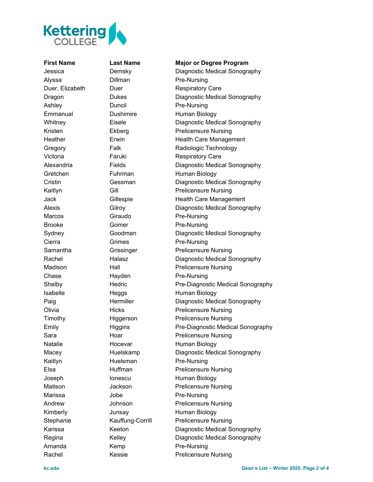

## **First Name Last Name Major or Degree Program**

Jessica Demsky Diagnostic Medical Sonography Alyssa Dillman Pre-Nursing Duer, Elizabeth Duer Respiratory Care Dragon Dukes Diagnostic Medical Sonography Ashley Duncil Pre-Nursing Emmanual Dushimire Human Biology Whitney **Eisele** Eisele **Diagnostic Medical Sonography** Kristen Ekberg Prelicensure Nursing Heather Erwin Erwin Health Care Management Gregory Falk Falk Radiologic Technology Victoria **Faruki** Faruki Respiratory Care Alexandria Fields Fields Diagnostic Medical Sonography Gretchen Fuhrman Human Biology Cristin **Gessman** Diagnostic Medical Sonography Kaitlyn Gill Gill Prelicensure Nursing Jack Gillespie Health Care Management Alexis Gilroy Gilroy Diagnostic Medical Sonography Marcos **Giraudo** Pre-Nursing Brooke Gomer **Pre-Nursing** Sydney Goodman Diagnostic Medical Sonography Cierra **Grimes Pre-Nursing** Samantha **Grissinger** Prelicensure Nursing Rachel **Halasz** Halasz Diagnostic Medical Sonography Madison Hall Prelicensure Nursing Chase Hayden Pre-Nursing Shelby **Hedric** Pre-Diagnostic Medical Sonography Isabelle Heggs Human Biology Paig **Example 2** Hermiller **Constant Diagnostic Medical Sonography** Olivia Hicks Prelicensure Nursing Timothy Higgerson Prelicensure Nursing Emily **Higgins** Higgins Pre-Diagnostic Medical Sonography Sara **Hoar** Hoar **Prelicensure Nursing** Natalie Hocevar Human Biology Macey Huelskamp Diagnostic Medical Sonography Kaitlyn Huelsman Pre-Nursing Elsa **Huffman** Prelicensure Nursing Joseph Ionescu Human Biology Matison **Jackson** Prelicensure Nursing Marissa Jobe **Pre-Nursing** Andrew Johnson Prelicensure Nursing Kimberly **Junsay** Human Biology Stephanie Kauffung-Corrill Prelicensure Nursing Karissa Keeton Diagnostic Medical Sonography Regina Kelley Diagnostic Medical Sonography Amanda **Kemp** Pre-Nursing Rachel Kessie Prelicensure Nursing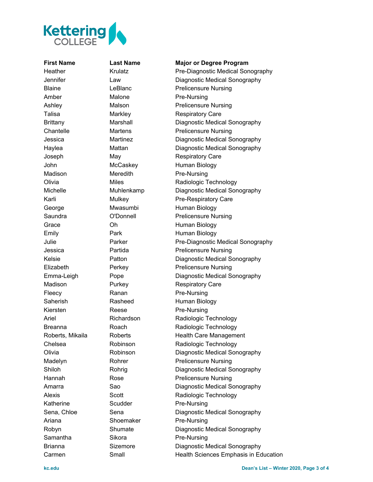

Amber Malone Pre-Nursing Madison Meredith Pre-Nursing Fleecy Ranan Pre-Nursing Kiersten Reese Pre-Nursing Katherine Scudder Pre-Nursing Ariana Shoemaker Pre-Nursing Samantha Sikora Pre-Nursing

## **First Name Last Name Major or Degree Program**

Heather Krulatz Pre-Diagnostic Medical Sonography Jennifer Law Diagnostic Medical Sonography Blaine **LeBlanc Consumersing** LeBlanc **Prelicensure Nursing** Ashley Malson Malson Prelicensure Nursing Talisa Markley Respiratory Care Brittany Marshall Diagnostic Medical Sonography Chantelle Martens Prelicensure Nursing Jessica Martinez Diagnostic Medical Sonography Haylea **Mattan** Mattan Diagnostic Medical Sonography Joseph May May Respiratory Care John McCaskey Human Biology Olivia Miles Miles Radiologic Technology Michelle Muhlenkamp Diagnostic Medical Sonography Karli Mulkey Pre-Respiratory Care George Mwasumbi Human Biology Saundra **O'Donnell** Prelicensure Nursing Grace **Oh Channel Communist Communist Communist Communist Communist Communist Communist Communist Communist Communist Communist Communist Communist Communist Communist Communist Communist Communist Communist Communist Comm** Emily **Park** Park Human Biology Julie Parker Pre-Diagnostic Medical Sonography Jessica Partida Prelicensure Nursing Kelsie **Patton** Patton Diagnostic Medical Sonography Elizabeth Perkey Prelicensure Nursing Emma-Leigh Pope Diagnostic Medical Sonography Madison **Purkey** Respiratory Care Saherish Rasheed Human Biology Ariel Richardson Radiologic Technology Breanna **Roach** Roach Radiologic Technology Roberts, Mikaila Roberts Health Care Management Chelsea **Robinson** Radiologic Technology Olivia Robinson Diagnostic Medical Sonography Madelyn Rohrer Prelicensure Nursing Shiloh Rohrig Diagnostic Medical Sonography Hannah Rose Rose Prelicensure Nursing Amarra **Sao** Sao Diagnostic Medical Sonography Alexis Scott Scott Radiologic Technology Sena, Chloe Sena Sena Diagnostic Medical Sonography Robyn Shumate Diagnostic Medical Sonography Brianna **Sizemore** Diagnostic Medical Sonography Carmen Small Health Sciences Emphasis in Education